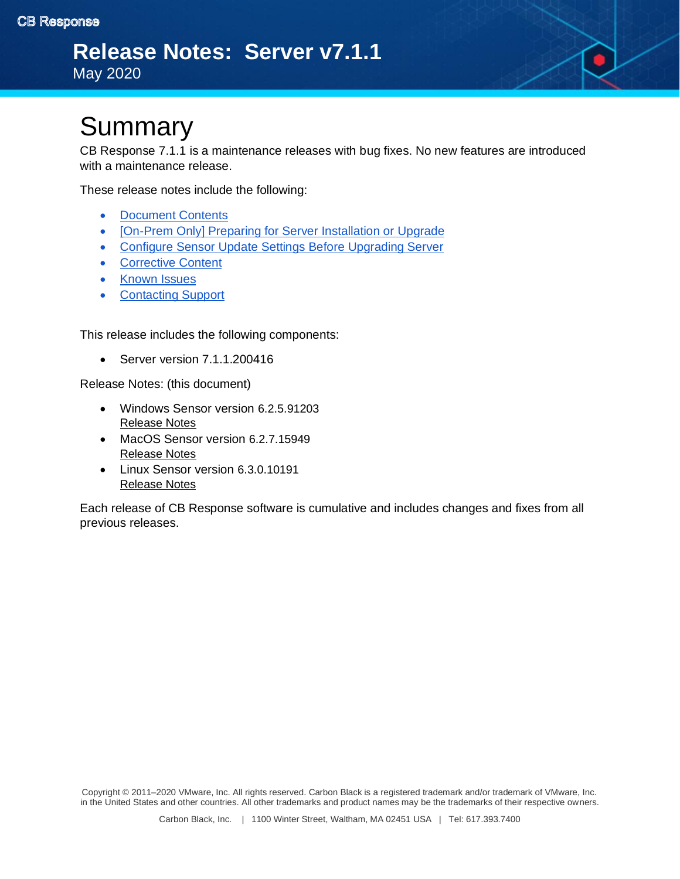

CB Response 7.1.1 is a maintenance releases with bug fixes. No new features are introduced with a maintenance release.

These release notes include the following:

- [Document Contents](https://docs.google.com/document/d/12XUbJbDp-Yjirkkck4acToluKyV4Xa5hVHBWdnqio3Y/edit#bookmark=id.o1fpyk64oc7s)
- [\[On-Prem Only\] Preparing for Server Installation or Upgrade](#page-2-0)
- [Configure Sensor Update Settings Before Upgrading Server](#page-3-0)
- [Corrective Content](#page-3-1)
- [Known Issues](https://docs.google.com/document/d/12XUbJbDp-Yjirkkck4acToluKyV4Xa5hVHBWdnqio3Y/edit#bookmark=id.gehuagk2chm8)
- [Contacting Support](#page-4-0)

This release includes the following components:

• Server version 7.1.1.200416

Release Notes: (this document)

- Windows Sensor version 6.2.5.91203 [Release Notes](https://community.carbonblack.com/t5/Documentation-Downloads/VMware-CB-EDR-Windows-Sensor-6-2-5-Release-Notes/ta-p/85384#M2591)
- MacOS Sensor version 6.2.7.15949 [Release Notes](https://community.carbonblack.com/t5/Documentation-Downloads/CB-Response-Mac-Sensor-6-2-7-Release-Notes/ta-p/84575)
- Linux Sensor version 6.3.0.10191 [Release Notes](https://community.carbonblack.com/t5/Documentation-Downloads/CB-EDR-Linux-Sensor-v6-3-0-Release-Notes/ta-p/87272#M2648)

Each release of CB Response software is cumulative and includes changes and fixes from all previous releases.

Copyright © 2011–2020 VMware, Inc. All rights reserved. Carbon Black is a registered trademark and/or trademark of VMware, Inc. in the United States and other countries. All other trademarks and product names may be the trademarks of their respective owners.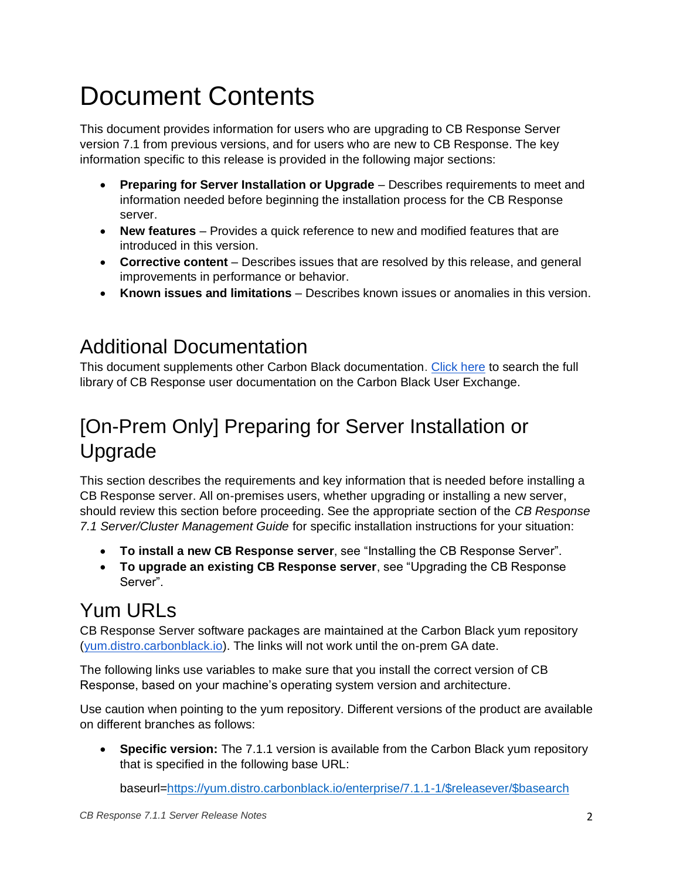# Document Contents

This document provides information for users who are upgrading to CB Response Server version 7.1 from previous versions, and for users who are new to CB Response. The key information specific to this release is provided in the following major sections:

- **Preparing for Server Installation or Upgrade** Describes requirements to meet and information needed before beginning the installation process for the CB Response server.
- **New features** Provides a quick reference to new and modified features that are introduced in this version.
- **Corrective content** Describes issues that are resolved by this release, and general improvements in performance or behavior.
- **Known issues and limitations** Describes known issues or anomalies in this version.

### Additional Documentation

This document supplements other Carbon Black documentation. [Click here](https://community.carbonblack.com/t5/Documentation-Downloads/tkb-p/product-docs-news/label-name/CB%20Response) to search the full library of CB Response user documentation on the Carbon Black User Exchange.

## [On-Prem Only] Preparing for Server Installation or Upgrade

This section describes the requirements and key information that is needed before installing a CB Response server. All on-premises users, whether upgrading or installing a new server, should review this section before proceeding. See the appropriate section of the *CB Response 7.1 Server/Cluster Management Guide* for specific installation instructions for your situation:

- **To install a new CB Response server**, see "Installing the CB Response Server".
- **To upgrade an existing CB Response server**, see "Upgrading the CB Response Server".

## Yum URLs

CB Response Server software packages are maintained at the Carbon Black yum repository [\(yum.distro.carbonblack.io\)](http://yum.distro.carbonblack.io/). The links will not work until the on-prem GA date.

The following links use variables to make sure that you install the correct version of CB Response, based on your machine's operating system version and architecture.

Use caution when pointing to the yum repository. Different versions of the product are available on different branches as follows:

• **Specific version:** The 7.1.1 version is available from the Carbon Black yum repository that is specified in the following base URL:

baseurl[=https://yum.distro.carbonblack.io/enterprise/7.1.1-1/\\$releasever/\\$basearch](https://yum.distro.carbonblack.io/enterprise/7.1.1-1/$releasever/$basearch)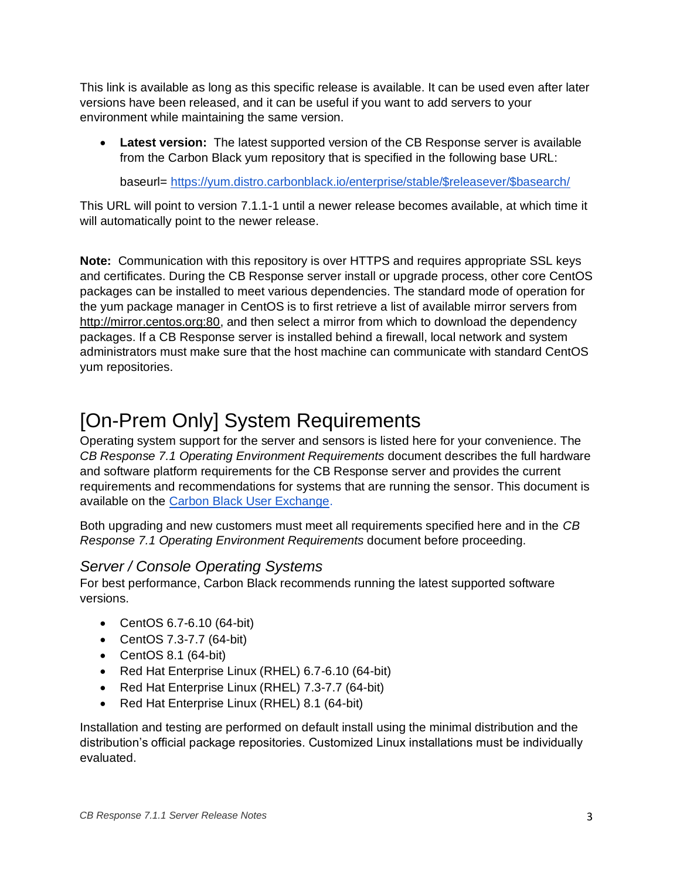This link is available as long as this specific release is available. It can be used even after later versions have been released, and it can be useful if you want to add servers to your environment while maintaining the same version.

• **Latest version:** The latest supported version of the CB Response server is available from the Carbon Black yum repository that is specified in the following base URL:

baseurl= [https://yum.distro.carbonblack.io/enterprise/stable/\\$releasever/\\$basearch/](https://yum.distro.carbonblack.io/enterprise/stable/$releasever/$basearch/)

This URL will point to version 7.1.1-1 until a newer release becomes available, at which time it will automatically point to the newer release.

**Note:** Communication with this repository is over HTTPS and requires appropriate SSL keys and certificates. During the CB Response server install or upgrade process, other core CentOS packages can be installed to meet various dependencies. The standard mode of operation for the yum package manager in CentOS is to first retrieve a list of available mirror servers from [http://mirror.centos.org:80,](http://mirror.centos.org/) and then select a mirror from which to download the dependency packages. If a CB Response server is installed behind a firewall, local network and system administrators must make sure that the host machine can communicate with standard CentOS yum repositories.

### <span id="page-2-0"></span>[On-Prem Only] System Requirements

Operating system support for the server and sensors is listed here for your convenience. The *CB Response 7.1 Operating Environment Requirements* document describes the full hardware and software platform requirements for the CB Response server and provides the current requirements and recommendations for systems that are running the sensor. This document is available on the [Carbon Black User Exchange.](https://community.carbonblack.com/)

Both upgrading and new customers must meet all requirements specified here and in the *CB Response 7.1 Operating Environment Requirements* document before proceeding.

#### *Server / Console Operating Systems*

For best performance, Carbon Black recommends running the latest supported software versions.

- CentOS 6.7-6.10 (64-bit)
- CentOS 7.3-7.7 (64-bit)
- CentOS 8.1 (64-bit)
- Red Hat Enterprise Linux (RHEL) 6.7-6.10 (64-bit)
- Red Hat Enterprise Linux (RHEL) 7.3-7.7 (64-bit)
- Red Hat Enterprise Linux (RHEL) 8.1 (64-bit)

Installation and testing are performed on default install using the minimal distribution and the distribution's official package repositories. Customized Linux installations must be individually evaluated.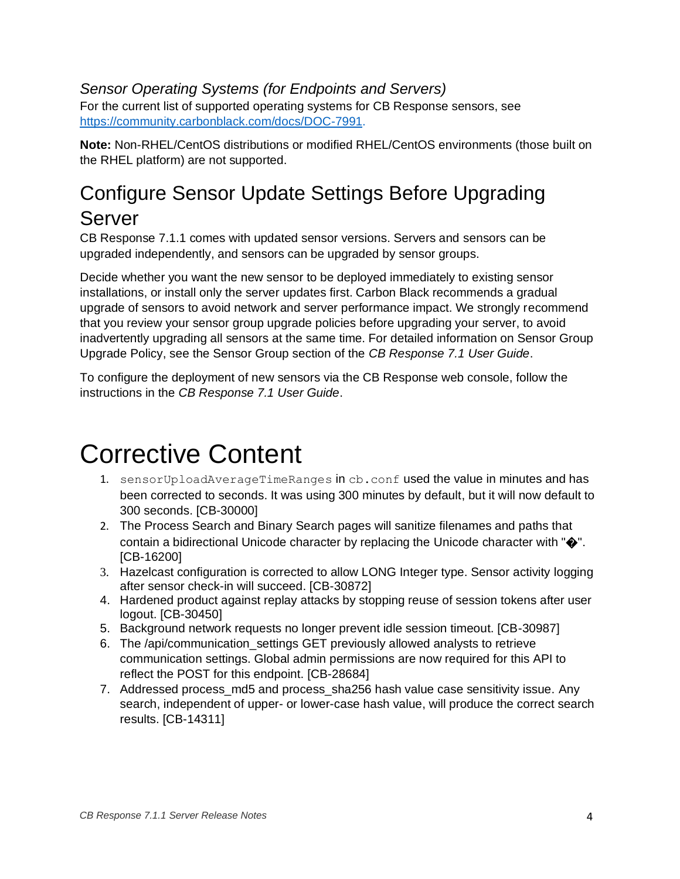#### *Sensor Operating Systems (for Endpoints and Servers)* For the current list of supported operating systems for CB Response sensors, see [https://community.carbonblack.com/docs/DOC-7991.](https://community.carbonblack.com/docs/DOC-7991)

**Note:** Non-RHEL/CentOS distributions or modified RHEL/CentOS environments (those built on the RHEL platform) are not supported.

### <span id="page-3-0"></span>Configure Sensor Update Settings Before Upgrading Server

CB Response 7.1.1 comes with updated sensor versions. Servers and sensors can be upgraded independently, and sensors can be upgraded by sensor groups.

Decide whether you want the new sensor to be deployed immediately to existing sensor installations, or install only the server updates first. Carbon Black recommends a gradual upgrade of sensors to avoid network and server performance impact. We strongly recommend that you review your sensor group upgrade policies before upgrading your server, to avoid inadvertently upgrading all sensors at the same time. For detailed information on Sensor Group Upgrade Policy, see the Sensor Group section of the *CB Response 7.1 User Guide*.

To configure the deployment of new sensors via the CB Response web console, follow the instructions in the *CB Response 7.1 User Guide*.

## <span id="page-3-1"></span>Corrective Content

- 1. sensorUploadAverageTimeRanges in cb.conf used the value in minutes and has been corrected to seconds. It was using 300 minutes by default, but it will now default to 300 seconds. [CB-30000]
- 2. The Process Search and Binary Search pages will sanitize filenames and paths that contain a bidirectional Unicode character by replacing the Unicode character with  $\Psi$ . [CB-16200]
- 3. Hazelcast configuration is corrected to allow LONG Integer type. Sensor activity logging after sensor check-in will succeed. [CB-30872]
- 4. Hardened product against replay attacks by stopping reuse of session tokens after user logout. [CB-30450]
- 5. Background network requests no longer prevent idle session timeout. [CB-30987]
- 6. The /api/communication\_settings GET previously allowed analysts to retrieve communication settings. Global admin permissions are now required for this API to reflect the POST for this endpoint. [CB-28684]
- 7. Addressed process md5 and process sha256 hash value case sensitivity issue. Any search, independent of upper- or lower-case hash value, will produce the correct search results. [CB-14311]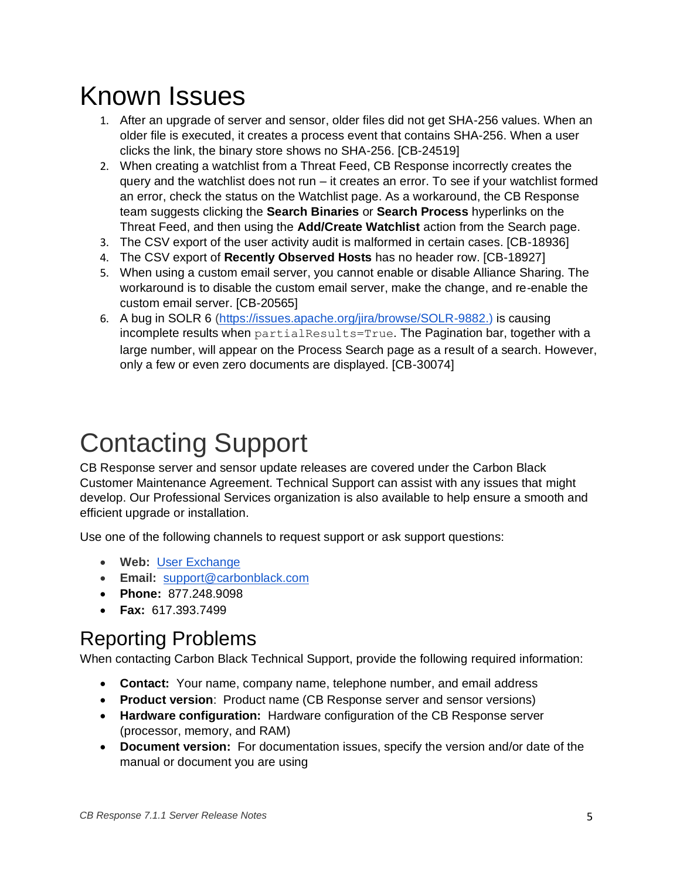## Known Issues

- 1. After an upgrade of server and sensor, older files did not get SHA-256 values. When an older file is executed, it creates a process event that contains SHA-256. When a user clicks the link, the binary store shows no SHA-256. [CB-24519]
- 2. When creating a watchlist from a Threat Feed, CB Response incorrectly creates the query and the watchlist does not run – it creates an error. To see if your watchlist formed an error, check the status on the Watchlist page. As a workaround, the CB Response team suggests clicking the **Search Binaries** or **Search Process** hyperlinks on the Threat Feed, and then using the **Add/Create Watchlist** action from the Search page.
- 3. The CSV export of the user activity audit is malformed in certain cases. [CB-18936]
- 4. The CSV export of **Recently Observed Hosts** has no header row. [CB-18927]
- 5. When using a custom email server, you cannot enable or disable Alliance Sharing. The workaround is to disable the custom email server, make the change, and re-enable the custom email server. [CB-20565]
- 6. A bug in SOLR 6 [\(https://issues.apache.org/jira/browse/SOLR-9882.\)](https://issues.apache.org/jira/browse/SOLR-9882.) is causing incomplete results when partialResults=True. The Pagination bar, together with a large number, will appear on the Process Search page as a result of a search. However, only a few or even zero documents are displayed. [CB-30074]

## <span id="page-4-0"></span>Contacting Support

CB Response server and sensor update releases are covered under the Carbon Black Customer Maintenance Agreement. Technical Support can assist with any issues that might develop. Our Professional Services organization is also available to help ensure a smooth and efficient upgrade or installation.

Use one of the following channels to request support or ask support questions:

- **Web:** [User Exchange](https://community.carbonblack.com/)
- **Email:** [support@carbonblack.com](mailto:support@carbonblack.com)
- **Phone:** 877.248.9098
- **Fax:** 617.393.7499

### Reporting Problems

When contacting Carbon Black Technical Support, provide the following required information:

- **Contact:** Your name, company name, telephone number, and email address
- **Product version**: Product name (CB Response server and sensor versions)
- **Hardware configuration:** Hardware configuration of the CB Response server (processor, memory, and RAM)
- **Document version:** For documentation issues, specify the version and/or date of the manual or document you are using